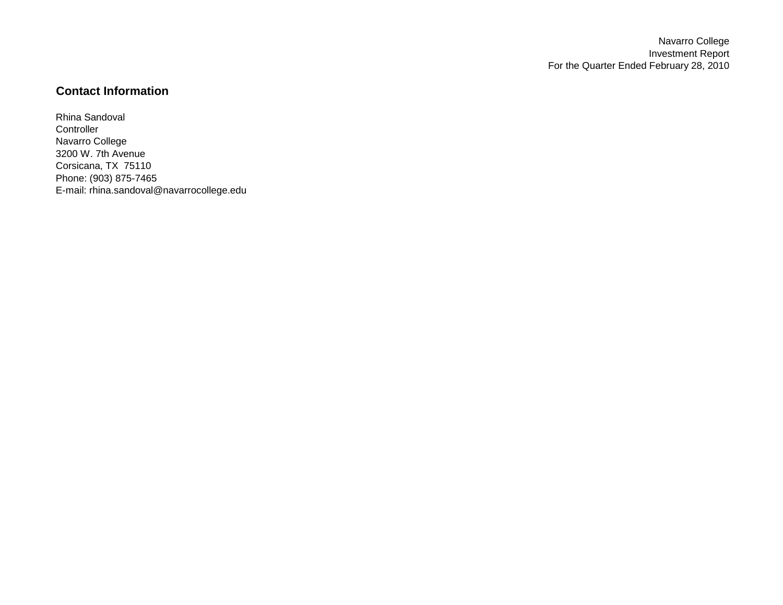Navarro College Investment Report For the Quarter Ended February 28, 2010

## **Contact Information**

Rhina Sandoval **Controller** Navarro College 3200 W. 7th Avenue Corsicana, TX 75110 Phone: (903) 875-7465 E-mail: rhina.sandoval@navarrocollege.edu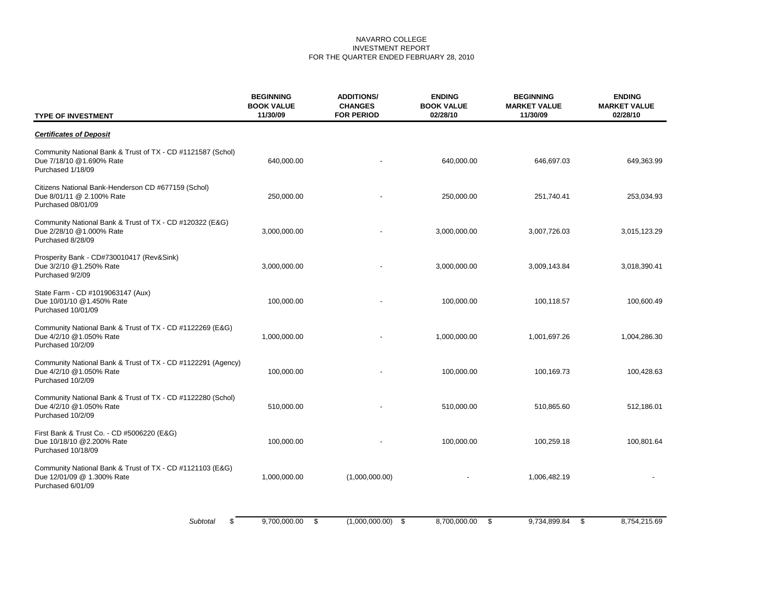## NAVARRO COLLEGE INVESTMENT REPORT FOR THE QUARTER ENDED FEBRUARY 28, 2010

| <b>TYPE OF INVESTMENT</b>                                                                                    | <b>BEGINNING</b><br><b>BOOK VALUE</b><br>11/30/09 | <b>ADDITIONS/</b><br><b>CHANGES</b><br><b>FOR PERIOD</b> | <b>ENDING</b><br><b>BOOK VALUE</b><br>02/28/10 | <b>BEGINNING</b><br><b>MARKET VALUE</b><br>11/30/09 | <b>ENDING</b><br><b>MARKET VALUE</b><br>02/28/10 |
|--------------------------------------------------------------------------------------------------------------|---------------------------------------------------|----------------------------------------------------------|------------------------------------------------|-----------------------------------------------------|--------------------------------------------------|
| <b>Certificates of Deposit</b>                                                                               |                                                   |                                                          |                                                |                                                     |                                                  |
| Community National Bank & Trust of TX - CD #1121587 (Schol)<br>Due 7/18/10 @1.690% Rate<br>Purchased 1/18/09 | 640,000.00                                        |                                                          | 640,000.00                                     | 646,697.03                                          | 649,363.99                                       |
| Citizens National Bank-Henderson CD #677159 (Schol)<br>Due 8/01/11 @ 2.100% Rate<br>Purchased 08/01/09       | 250,000.00                                        |                                                          | 250,000.00                                     | 251,740.41                                          | 253,034.93                                       |
| Community National Bank & Trust of TX - CD #120322 (E&G)<br>Due 2/28/10 @1.000% Rate<br>Purchased 8/28/09    | 3,000,000.00                                      |                                                          | 3,000,000.00                                   | 3,007,726.03                                        | 3,015,123.29                                     |
| Prosperity Bank - CD#730010417 (Rev&Sink)<br>Due 3/2/10 @1.250% Rate<br>Purchased 9/2/09                     | 3,000,000.00                                      |                                                          | 3,000,000.00                                   | 3,009,143.84                                        | 3,018,390.41                                     |
| State Farm - CD #1019063147 (Aux)<br>Due 10/01/10 @1.450% Rate<br>Purchased 10/01/09                         | 100,000.00                                        |                                                          | 100,000.00                                     | 100,118.57                                          | 100,600.49                                       |
| Community National Bank & Trust of TX - CD #1122269 (E&G)<br>Due 4/2/10 @1.050% Rate<br>Purchased 10/2/09    | 1,000,000.00                                      |                                                          | 1,000,000.00                                   | 1,001,697.26                                        | 1,004,286.30                                     |
| Community National Bank & Trust of TX - CD #1122291 (Agency)<br>Due 4/2/10 @1.050% Rate<br>Purchased 10/2/09 | 100,000.00                                        |                                                          | 100,000.00                                     | 100,169.73                                          | 100,428.63                                       |
| Community National Bank & Trust of TX - CD #1122280 (Schol)<br>Due 4/2/10 @1.050% Rate<br>Purchased 10/2/09  | 510,000.00                                        |                                                          | 510,000.00                                     | 510,865.60                                          | 512,186.01                                       |
| First Bank & Trust Co. - CD #5006220 (E&G)<br>Due 10/18/10 @2.200% Rate<br>Purchased 10/18/09                | 100,000.00                                        |                                                          | 100,000.00                                     | 100,259.18                                          | 100,801.64                                       |
| Community National Bank & Trust of TX - CD #1121103 (E&G)<br>Due 12/01/09 @ 1.300% Rate<br>Purchased 6/01/09 | 1,000,000.00                                      | (1,000,000.00)                                           |                                                | 1,006,482.19                                        |                                                  |
| Subtotal<br>\$                                                                                               | 9,700,000.00<br>- \$                              | $(1,000,000.00)$ \$                                      | 8,700,000.00<br>- \$                           | 9,734,899.84<br>- \$                                | 8,754,215.69                                     |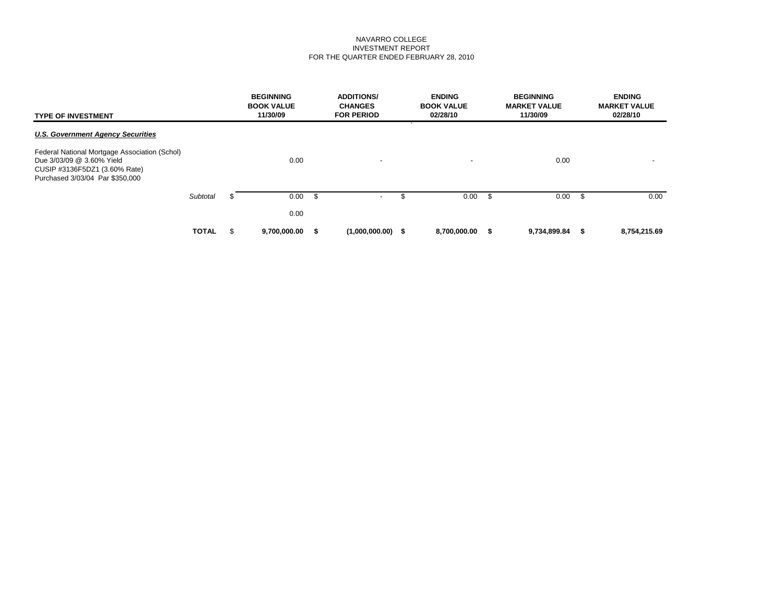## NAVARRO COLLEGE INVESTMENT REPORT FOR THE QUARTER ENDED FEBRUARY 28, 2010

| <b>TYPE OF INVESTMENT</b>                                                                                                                      |              |   | <b>BEGINNING</b><br><b>BOOK VALUE</b><br>11/30/09 |    | <b>ADDITIONS/</b><br><b>CHANGES</b><br><b>FOR PERIOD</b> | <b>ENDING</b><br><b>BOOK VALUE</b><br>02/28/10 |    | <b>BEGINNING</b><br><b>MARKET VALUE</b><br>11/30/09 |      | <b>ENDING</b><br><b>MARKET VALUE</b><br>02/28/10 |
|------------------------------------------------------------------------------------------------------------------------------------------------|--------------|---|---------------------------------------------------|----|----------------------------------------------------------|------------------------------------------------|----|-----------------------------------------------------|------|--------------------------------------------------|
| <b>U.S. Government Agency Securities</b>                                                                                                       |              |   |                                                   |    |                                                          | $\lambda$                                      |    |                                                     |      |                                                  |
| Federal National Mortgage Association (Schol)<br>Due 3/03/09 @ 3.60% Yield<br>CUSIP #3136F5DZ1 (3.60% Rate)<br>Purchased 3/03/04 Par \$350,000 |              |   | 0.00                                              |    | $\overline{\phantom{a}}$                                 | $\overline{\phantom{a}}$                       |    | 0.00                                                |      | $\overline{\phantom{a}}$                         |
|                                                                                                                                                | Subtotal     | S | 0.00                                              | -S | $\overline{\phantom{a}}$                                 | \$<br>$0.00\,$ \$                              |    | 0.00                                                | - \$ | 0.00                                             |
|                                                                                                                                                |              |   | 0.00                                              |    |                                                          |                                                |    |                                                     |      |                                                  |
|                                                                                                                                                | <b>TOTAL</b> | S | 9,700,000.00                                      |    | $(1,000,000.00)$ \$                                      | 8,700,000.00                                   | s. | 9,734,899.84                                        |      | 8,754,215.69                                     |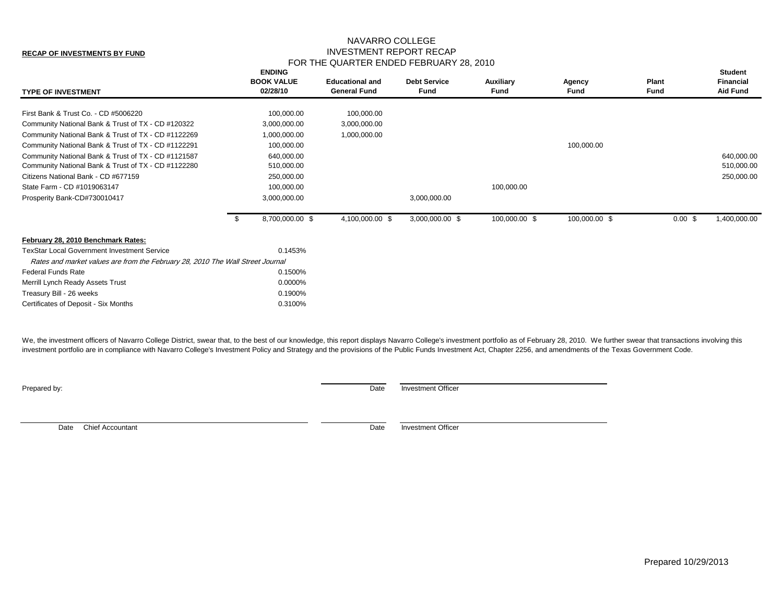## NAVARRO COLLEGE INVESTMENT REPORT RECAP FOR THE QUARTER ENDED FEBRUARY 28, 2010

| <b>TYPE OF INVESTMENT</b>                                                      | <b>ENDING</b><br><b>BOOK VALUE</b><br>02/28/10 | <b>Educational and</b><br><b>General Fund</b> | <b>Debt Service</b><br>Fund | Auxiliary<br>Fund | Agency<br>Fund | Plant<br><b>Fund</b> | <b>Student</b><br><b>Financial</b><br><b>Aid Fund</b> |
|--------------------------------------------------------------------------------|------------------------------------------------|-----------------------------------------------|-----------------------------|-------------------|----------------|----------------------|-------------------------------------------------------|
| First Bank & Trust Co. - CD #5006220                                           | 100,000.00                                     | 100,000.00                                    |                             |                   |                |                      |                                                       |
| Community National Bank & Trust of TX - CD #120322                             | 3,000,000.00                                   | 3,000,000.00                                  |                             |                   |                |                      |                                                       |
| Community National Bank & Trust of TX - CD #1122269                            | 1,000,000.00                                   | 1,000,000.00                                  |                             |                   |                |                      |                                                       |
| Community National Bank & Trust of TX - CD #1122291                            | 100,000.00                                     |                                               |                             |                   | 100,000.00     |                      |                                                       |
| Community National Bank & Trust of TX - CD #1121587                            | 640,000.00                                     |                                               |                             |                   |                |                      | 640,000.00                                            |
| Community National Bank & Trust of TX - CD #1122280                            | 510,000.00                                     |                                               |                             |                   |                |                      | 510,000.00                                            |
| Citizens National Bank - CD #677159                                            | 250,000.00                                     |                                               |                             |                   |                |                      | 250,000.00                                            |
| State Farm - CD #1019063147                                                    | 100,000.00                                     |                                               |                             | 100,000.00        |                |                      |                                                       |
| Prosperity Bank-CD#730010417                                                   | 3,000,000.00                                   |                                               | 3,000,000.00                |                   |                |                      |                                                       |
|                                                                                | 8,700,000.00 \$                                | 4,100,000.00 \$                               | 3,000,000.00 \$             | 100,000.00 \$     | 100,000.00 \$  | $0.00 \text{ }$ \$   | 1,400,000.00                                          |
| February 28, 2010 Benchmark Rates:                                             |                                                |                                               |                             |                   |                |                      |                                                       |
| <b>TexStar Local Government Investment Service</b>                             | 0.1453%                                        |                                               |                             |                   |                |                      |                                                       |
| Rates and market values are from the February 28, 2010 The Wall Street Journal |                                                |                                               |                             |                   |                |                      |                                                       |
| <b>Federal Funds Rate</b>                                                      | 0.1500%                                        |                                               |                             |                   |                |                      |                                                       |
| Merrill Lynch Ready Assets Trust                                               | 0.0000%                                        |                                               |                             |                   |                |                      |                                                       |
| Treasury Bill - 26 weeks                                                       | 0.1900%                                        |                                               |                             |                   |                |                      |                                                       |
| Certificates of Deposit - Six Months                                           | 0.3100%                                        |                                               |                             |                   |                |                      |                                                       |
|                                                                                |                                                |                                               |                             |                   |                |                      |                                                       |

We, the investment officers of Navarro College District, swear that, to the best of our knowledge, this report displays Navarro College's investment portfolio as of February 28, 2010. We further swear that transactions inv investment portfolio are in compliance with Navarro College's Investment Policy and Strategy and the provisions of the Public Funds Investment Act, Chapter 2256, and amendments of the Texas Government Code.

**Prepared by:** Date Investment Officer

Date Chief Accountant Date Investment Officer

**RECAP OF INVESTMENTS BY FUND**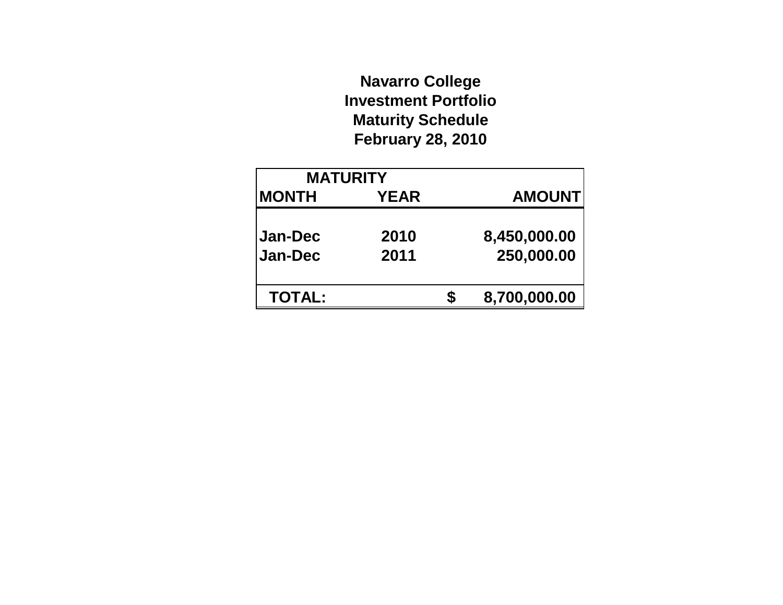# **Navarro College Investment Portfolio Maturity Schedule February 28, 2010**

| <b>MATURITY</b>           |              |                            |
|---------------------------|--------------|----------------------------|
| <b>MONTH</b>              | <b>YEAR</b>  | <b>AMOUNT</b>              |
| Jan-Dec<br><b>Jan-Dec</b> | 2010<br>2011 | 8,450,000.00<br>250,000.00 |
| <b>TOTAL:</b>             |              | 8,700,000.00               |